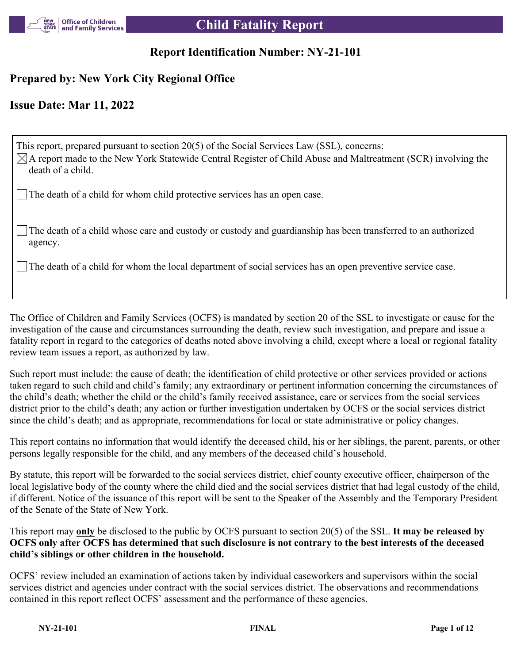

## **Report Identification Number: NY-21-101**

## **Prepared by: New York City Regional Office**

## **Issue Date: Mar 11, 2022**

This report, prepared pursuant to section 20(5) of the Social Services Law (SSL), concerns:  $\boxtimes$ A report made to the New York Statewide Central Register of Child Abuse and Maltreatment (SCR) involving the death of a child.

The death of a child for whom child protective services has an open case.

The death of a child whose care and custody or custody and guardianship has been transferred to an authorized agency.

The death of a child for whom the local department of social services has an open preventive service case.

The Office of Children and Family Services (OCFS) is mandated by section 20 of the SSL to investigate or cause for the investigation of the cause and circumstances surrounding the death, review such investigation, and prepare and issue a fatality report in regard to the categories of deaths noted above involving a child, except where a local or regional fatality review team issues a report, as authorized by law.

Such report must include: the cause of death; the identification of child protective or other services provided or actions taken regard to such child and child's family; any extraordinary or pertinent information concerning the circumstances of the child's death; whether the child or the child's family received assistance, care or services from the social services district prior to the child's death; any action or further investigation undertaken by OCFS or the social services district since the child's death; and as appropriate, recommendations for local or state administrative or policy changes.

This report contains no information that would identify the deceased child, his or her siblings, the parent, parents, or other persons legally responsible for the child, and any members of the deceased child's household.

By statute, this report will be forwarded to the social services district, chief county executive officer, chairperson of the local legislative body of the county where the child died and the social services district that had legal custody of the child, if different. Notice of the issuance of this report will be sent to the Speaker of the Assembly and the Temporary President of the Senate of the State of New York.

This report may **only** be disclosed to the public by OCFS pursuant to section 20(5) of the SSL. **It may be released by OCFS only after OCFS has determined that such disclosure is not contrary to the best interests of the deceased child's siblings or other children in the household.**

OCFS' review included an examination of actions taken by individual caseworkers and supervisors within the social services district and agencies under contract with the social services district. The observations and recommendations contained in this report reflect OCFS' assessment and the performance of these agencies.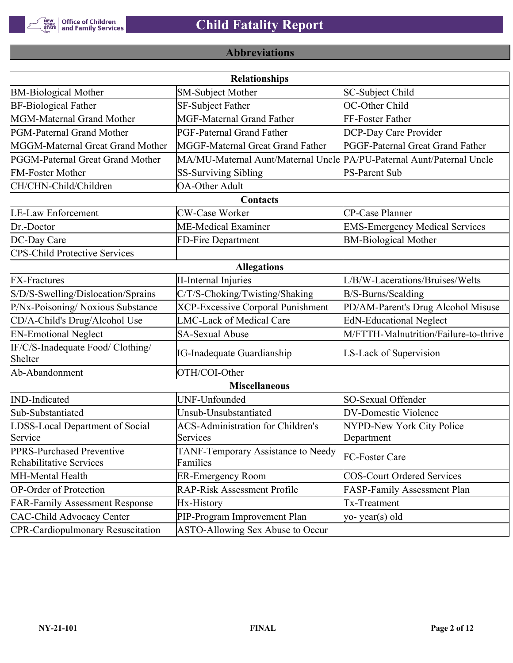

# **Abbreviations**

| <b>Relationships</b>                                 |                                                                       |                                       |  |  |  |
|------------------------------------------------------|-----------------------------------------------------------------------|---------------------------------------|--|--|--|
| <b>BM-Biological Mother</b>                          | <b>SM-Subject Mother</b>                                              | SC-Subject Child                      |  |  |  |
| <b>BF-Biological Father</b>                          | <b>SF-Subject Father</b>                                              | OC-Other Child                        |  |  |  |
| MGM-Maternal Grand Mother                            | <b>MGF-Maternal Grand Father</b>                                      | FF-Foster Father                      |  |  |  |
| PGM-Paternal Grand Mother                            | PGF-Paternal Grand Father                                             | DCP-Day Care Provider                 |  |  |  |
| MGGM-Maternal Great Grand Mother                     | MGGF-Maternal Great Grand Father                                      | PGGF-Paternal Great Grand Father      |  |  |  |
| PGGM-Paternal Great Grand Mother                     | MA/MU-Maternal Aunt/Maternal Uncle PA/PU-Paternal Aunt/Paternal Uncle |                                       |  |  |  |
| <b>FM-Foster Mother</b>                              | <b>SS-Surviving Sibling</b>                                           | <b>PS-Parent Sub</b>                  |  |  |  |
| CH/CHN-Child/Children                                | <b>OA-Other Adult</b>                                                 |                                       |  |  |  |
|                                                      | Contacts                                                              |                                       |  |  |  |
| <b>LE-Law Enforcement</b>                            | <b>CW-Case Worker</b>                                                 | CP-Case Planner                       |  |  |  |
| Dr.-Doctor                                           | ME-Medical Examiner                                                   | <b>EMS-Emergency Medical Services</b> |  |  |  |
| DC-Day Care                                          | FD-Fire Department                                                    | <b>BM-Biological Mother</b>           |  |  |  |
| <b>CPS-Child Protective Services</b>                 |                                                                       |                                       |  |  |  |
|                                                      | <b>Allegations</b>                                                    |                                       |  |  |  |
| <b>FX-Fractures</b>                                  | <b>II-Internal Injuries</b>                                           | L/B/W-Lacerations/Bruises/Welts       |  |  |  |
| S/D/S-Swelling/Dislocation/Sprains                   | C/T/S-Choking/Twisting/Shaking                                        | B/S-Burns/Scalding                    |  |  |  |
| P/Nx-Poisoning/ Noxious Substance                    | <b>XCP-Excessive Corporal Punishment</b>                              | PD/AM-Parent's Drug Alcohol Misuse    |  |  |  |
| CD/A-Child's Drug/Alcohol Use                        | <b>LMC-Lack of Medical Care</b>                                       | <b>EdN-Educational Neglect</b>        |  |  |  |
| <b>EN-Emotional Neglect</b>                          | <b>SA-Sexual Abuse</b>                                                | M/FTTH-Malnutrition/Failure-to-thrive |  |  |  |
| IF/C/S-Inadequate Food/ Clothing/<br>Shelter         | <b>IG-Inadequate Guardianship</b>                                     | LS-Lack of Supervision                |  |  |  |
| Ab-Abandonment                                       | OTH/COI-Other                                                         |                                       |  |  |  |
|                                                      | <b>Miscellaneous</b>                                                  |                                       |  |  |  |
| <b>IND-Indicated</b>                                 | UNF-Unfounded                                                         | SO-Sexual Offender                    |  |  |  |
| Sub-Substantiated                                    | Unsub-Unsubstantiated                                                 | <b>DV-Domestic Violence</b>           |  |  |  |
| LDSS-Local Department of Social                      | <b>ACS-Administration for Children's</b>                              | NYPD-New York City Police             |  |  |  |
| Service                                              | Services                                                              | Department                            |  |  |  |
| PPRS-Purchased Preventive<br>Rehabilitative Services | TANF-Temporary Assistance to Needy<br>Families                        | FC-Foster Care                        |  |  |  |
| MH-Mental Health                                     | <b>ER-Emergency Room</b>                                              | <b>COS-Court Ordered Services</b>     |  |  |  |
| <b>OP-Order of Protection</b>                        | <b>RAP-Risk Assessment Profile</b>                                    | FASP-Family Assessment Plan           |  |  |  |
| <b>FAR-Family Assessment Response</b>                | Hx-History                                                            | Tx-Treatment                          |  |  |  |
| <b>CAC-Child Advocacy Center</b>                     | PIP-Program Improvement Plan                                          | yo-year(s) old                        |  |  |  |
| <b>CPR-Cardiopulmonary Resuscitation</b>             | ASTO-Allowing Sex Abuse to Occur                                      |                                       |  |  |  |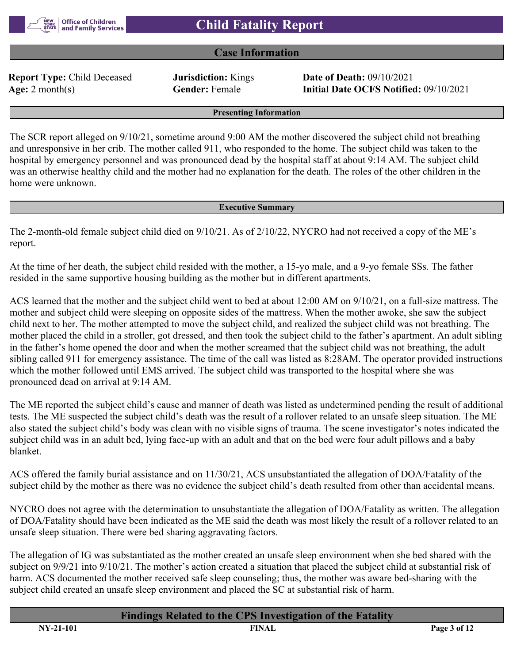#### **Case Information**

**Report Type:** Child Deceased **Jurisdiction:** Kings **Date of Death:** 09/10/2021

**Age:** 2 month(s) **Gender:** Female **Initial Date OCFS Notified:** 09/10/2021

**Presenting Information**

The SCR report alleged on 9/10/21, sometime around 9:00 AM the mother discovered the subject child not breathing and unresponsive in her crib. The mother called 911, who responded to the home. The subject child was taken to the hospital by emergency personnel and was pronounced dead by the hospital staff at about 9:14 AM. The subject child was an otherwise healthy child and the mother had no explanation for the death. The roles of the other children in the home were unknown.

#### **Executive Summary**

The 2-month-old female subject child died on 9/10/21. As of 2/10/22, NYCRO had not received a copy of the ME's report.

At the time of her death, the subject child resided with the mother, a 15-yo male, and a 9-yo female SSs. The father resided in the same supportive housing building as the mother but in different apartments.

ACS learned that the mother and the subject child went to bed at about 12:00 AM on 9/10/21, on a full-size mattress. The mother and subject child were sleeping on opposite sides of the mattress. When the mother awoke, she saw the subject child next to her. The mother attempted to move the subject child, and realized the subject child was not breathing. The mother placed the child in a stroller, got dressed, and then took the subject child to the father's apartment. An adult sibling in the father's home opened the door and when the mother screamed that the subject child was not breathing, the adult sibling called 911 for emergency assistance. The time of the call was listed as 8:28AM. The operator provided instructions which the mother followed until EMS arrived. The subject child was transported to the hospital where she was pronounced dead on arrival at 9:14 AM.

The ME reported the subject child's cause and manner of death was listed as undetermined pending the result of additional tests. The ME suspected the subject child's death was the result of a rollover related to an unsafe sleep situation. The ME also stated the subject child's body was clean with no visible signs of trauma. The scene investigator's notes indicated the subject child was in an adult bed, lying face-up with an adult and that on the bed were four adult pillows and a baby blanket.

ACS offered the family burial assistance and on 11/30/21, ACS unsubstantiated the allegation of DOA/Fatality of the subject child by the mother as there was no evidence the subject child's death resulted from other than accidental means.

NYCRO does not agree with the determination to unsubstantiate the allegation of DOA/Fatality as written. The allegation of DOA/Fatality should have been indicated as the ME said the death was most likely the result of a rollover related to an unsafe sleep situation. There were bed sharing aggravating factors.

The allegation of IG was substantiated as the mother created an unsafe sleep environment when she bed shared with the subject on 9/9/21 into 9/10/21. The mother's action created a situation that placed the subject child at substantial risk of harm. ACS documented the mother received safe sleep counseling; thus, the mother was aware bed-sharing with the subject child created an unsafe sleep environment and placed the SC at substantial risk of harm.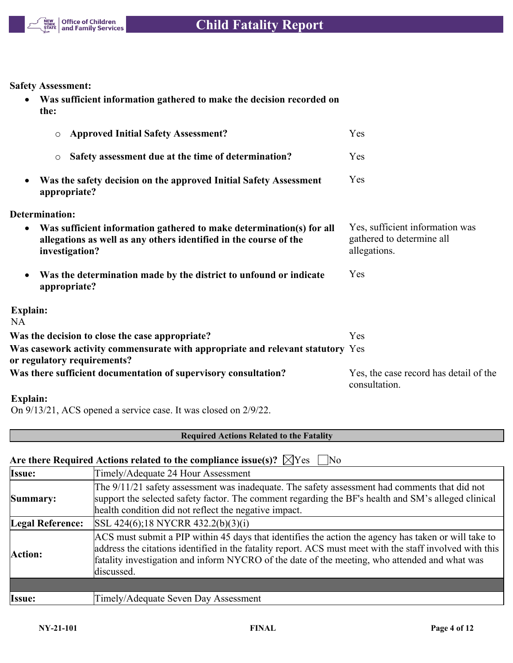

**Safety Assessment:**

| Was sufficient information gathered to make the decision recorded on |
|----------------------------------------------------------------------|
| the:                                                                 |

| <b>Approved Initial Safety Assessment?</b><br>$\circ$                                                                                                                    | Yes                                                                          |
|--------------------------------------------------------------------------------------------------------------------------------------------------------------------------|------------------------------------------------------------------------------|
| Safety assessment due at the time of determination?<br>$\circ$                                                                                                           | Yes                                                                          |
| Was the safety decision on the approved Initial Safety Assessment<br>$\bullet$<br>appropriate?                                                                           | Yes                                                                          |
| Determination:                                                                                                                                                           |                                                                              |
| Was sufficient information gathered to make determination(s) for all<br>$\bullet$<br>allegations as well as any others identified in the course of the<br>investigation? | Yes, sufficient information was<br>gathered to determine all<br>allegations. |
| Was the determination made by the district to unfound or indicate<br>appropriate?                                                                                        | Yes                                                                          |
| <b>Explain:</b>                                                                                                                                                          |                                                                              |
| <b>NA</b><br>Was the decision to close the case appropriate?                                                                                                             | Yes                                                                          |
| Was casework activity commensurate with appropriate and relevant statutory Yes<br>or regulatory requirements?                                                            |                                                                              |
| Was there sufficient documentation of supervisory consultation?                                                                                                          | Yes, the case record has detail of the<br>consultation.                      |
| Explain:                                                                                                                                                                 |                                                                              |

On 9/13/21, ACS opened a service case. It was closed on 2/9/22.

### **Required Actions Related to the Fatality**

## Are there Required Actions related to the compliance issue(s)?  $\boxtimes$  Yes  $\Box$  No

| Issue:                  | Timely/Adequate 24 Hour Assessment                                                                                                                                                                                                                                                                                              |
|-------------------------|---------------------------------------------------------------------------------------------------------------------------------------------------------------------------------------------------------------------------------------------------------------------------------------------------------------------------------|
| Summary:                | The 9/11/21 safety assessment was inadequate. The safety assessment had comments that did not<br>support the selected safety factor. The comment regarding the BF's health and SM's alleged clinical<br>health condition did not reflect the negative impact.                                                                   |
| <b>Legal Reference:</b> | SSL 424(6);18 NYCRR 432.2(b)(3)(i)                                                                                                                                                                                                                                                                                              |
| Action:                 | ACS must submit a PIP within 45 days that identifies the action the agency has taken or will take to<br>address the citations identified in the fatality report. ACS must meet with the staff involved with this<br>fatality investigation and inform NYCRO of the date of the meeting, who attended and what was<br>discussed. |
|                         |                                                                                                                                                                                                                                                                                                                                 |
| Issue:                  | Timely/Adequate Seven Day Assessment                                                                                                                                                                                                                                                                                            |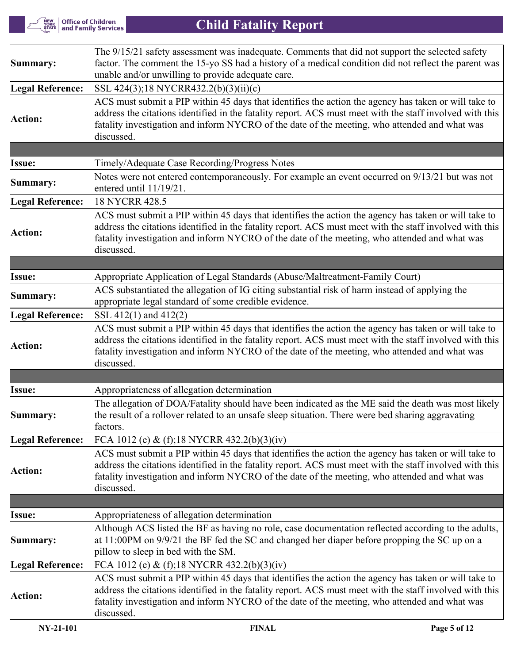$\left| \frac{\rm{New}}{\rm{VORK}} \right|$  Office of Children<br>STATE and Family Services

# **Child Fatality Report**

| Summary:                | The 9/15/21 safety assessment was inadequate. Comments that did not support the selected safety<br>factor. The comment the 15-yo SS had a history of a medical condition did not reflect the parent was<br>unable and/or unwilling to provide adequate care.                                                                    |  |  |  |
|-------------------------|---------------------------------------------------------------------------------------------------------------------------------------------------------------------------------------------------------------------------------------------------------------------------------------------------------------------------------|--|--|--|
| <b>Legal Reference:</b> | SSL 424(3);18 NYCRR432.2(b)(3)(ii)(c)                                                                                                                                                                                                                                                                                           |  |  |  |
| Action:                 | ACS must submit a PIP within 45 days that identifies the action the agency has taken or will take to<br>address the citations identified in the fatality report. ACS must meet with the staff involved with this<br>fatality investigation and inform NYCRO of the date of the meeting, who attended and what was<br>discussed. |  |  |  |
|                         |                                                                                                                                                                                                                                                                                                                                 |  |  |  |
| <b>Issue:</b>           | Timely/Adequate Case Recording/Progress Notes                                                                                                                                                                                                                                                                                   |  |  |  |
| Summary:                | Notes were not entered contemporaneously. For example an event occurred on 9/13/21 but was not<br>entered until 11/19/21.                                                                                                                                                                                                       |  |  |  |
| <b>Legal Reference:</b> | 18 NYCRR 428.5                                                                                                                                                                                                                                                                                                                  |  |  |  |
| Action:                 | ACS must submit a PIP within 45 days that identifies the action the agency has taken or will take to<br>address the citations identified in the fatality report. ACS must meet with the staff involved with this<br>fatality investigation and inform NYCRO of the date of the meeting, who attended and what was<br>discussed. |  |  |  |
|                         |                                                                                                                                                                                                                                                                                                                                 |  |  |  |
| Issue:                  | Appropriate Application of Legal Standards (Abuse/Maltreatment-Family Court)                                                                                                                                                                                                                                                    |  |  |  |
| Summary:                | ACS substantiated the allegation of IG citing substantial risk of harm instead of applying the<br>appropriate legal standard of some credible evidence.                                                                                                                                                                         |  |  |  |
| <b>Legal Reference:</b> | SSL 412(1) and 412(2)                                                                                                                                                                                                                                                                                                           |  |  |  |
| Action:                 | ACS must submit a PIP within 45 days that identifies the action the agency has taken or will take to<br>address the citations identified in the fatality report. ACS must meet with the staff involved with this<br>fatality investigation and inform NYCRO of the date of the meeting, who attended and what was<br>discussed. |  |  |  |
|                         |                                                                                                                                                                                                                                                                                                                                 |  |  |  |
| <b>Issue:</b>           | Appropriateness of allegation determination                                                                                                                                                                                                                                                                                     |  |  |  |
| Summary:                | The allegation of DOA/Fatality should have been indicated as the ME said the death was most likely<br>the result of a rollover related to an unsafe sleep situation. There were bed sharing aggravating<br>factors.                                                                                                             |  |  |  |
| Legal Reference:        | FCA 1012 (e) & (f);18 NYCRR 432.2(b)(3)(iv)                                                                                                                                                                                                                                                                                     |  |  |  |
| Action:                 | ACS must submit a PIP within 45 days that identifies the action the agency has taken or will take to<br>address the citations identified in the fatality report. ACS must meet with the staff involved with this<br>fatality investigation and inform NYCRO of the date of the meeting, who attended and what was<br>discussed. |  |  |  |
|                         |                                                                                                                                                                                                                                                                                                                                 |  |  |  |
| <b>Issue:</b>           | Appropriateness of allegation determination                                                                                                                                                                                                                                                                                     |  |  |  |
| Summary:                | Although ACS listed the BF as having no role, case documentation reflected according to the adults,<br>at 11:00PM on 9/9/21 the BF fed the SC and changed her diaper before propping the SC up on a<br>pillow to sleep in bed with the SM.                                                                                      |  |  |  |
| <b>Legal Reference:</b> | FCA 1012 (e) & (f);18 NYCRR 432.2(b)(3)(iv)                                                                                                                                                                                                                                                                                     |  |  |  |
| Action:                 | ACS must submit a PIP within 45 days that identifies the action the agency has taken or will take to<br>address the citations identified in the fatality report. ACS must meet with the staff involved with this<br>fatality investigation and inform NYCRO of the date of the meeting, who attended and what was<br>discussed. |  |  |  |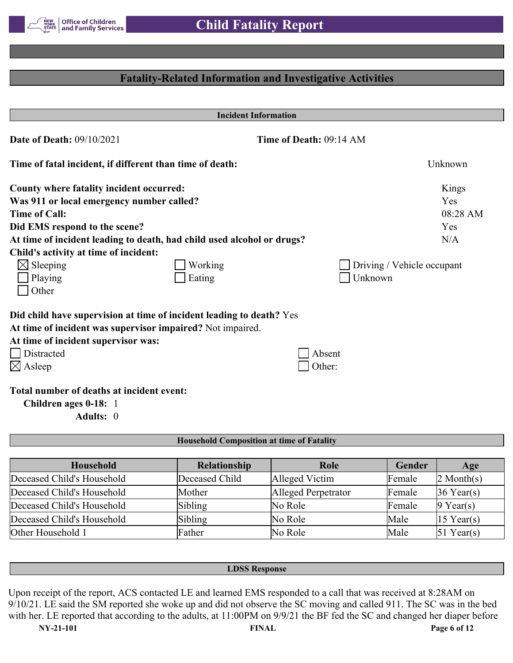

## **Fatality-Related Information and Investigative Activities**

| <b>Incident Information</b>                                            |         |                         |                            |
|------------------------------------------------------------------------|---------|-------------------------|----------------------------|
| Date of Death: 09/10/2021                                              |         | Time of Death: 09:14 AM |                            |
| Time of fatal incident, if different than time of death:               |         |                         | Unknown                    |
| <b>County where fatality incident occurred:</b>                        |         |                         | Kings                      |
| Was 911 or local emergency number called?                              |         |                         | Yes                        |
| <b>Time of Call:</b>                                                   |         |                         | 08:28 AM                   |
| Did EMS respond to the scene?                                          |         |                         | Yes                        |
| At time of incident leading to death, had child used alcohol or drugs? |         |                         | N/A                        |
| Child's activity at time of incident:                                  |         |                         |                            |
| $\boxtimes$ Sleeping                                                   | Working |                         | Driving / Vehicle occupant |
| Playing                                                                | Eating  | Unknown                 |                            |
| Other                                                                  |         |                         |                            |
| Did child have supervision at time of incident leading to death? Yes   |         |                         |                            |
| At time of incident was supervisor impaired? Not impaired.             |         |                         |                            |
| At time of incident supervisor was:                                    |         |                         |                            |
| <b>Distracted</b>                                                      |         | Absent                  |                            |
| $\boxtimes$ Asleep                                                     |         | Other:                  |                            |
| Total number of deaths at incident event:                              |         |                         |                            |
| Children ages 0-18: 1                                                  |         |                         |                            |
| Adults: 0                                                              |         |                         |                            |

#### **Household Composition at time of Fatality**

| Household                  | <b>Relationship</b> | Role                | Gender | Age                    |
|----------------------------|---------------------|---------------------|--------|------------------------|
| Deceased Child's Household | Deceased Child      | Alleged Victim      | Female | $2$ Month(s)           |
| Deceased Child's Household | Mother              | Alleged Perpetrator | Female | $36$ Year(s)           |
| Deceased Child's Household | Sibling             | No Role             | Female | $9$ Year(s)            |
| Deceased Child's Household | Sibling             | No Role             | Male   | $ 15 \text{ Year}(s) $ |
| Other Household 1          | Father              | No Role             | Male   | $51$ Year(s)           |

#### **LDSS Response**

Upon receipt of the report, ACS contacted LE and learned EMS responded to a call that was received at 8:28AM on 9/10/21. LE said the SM reported she woke up and did not observe the SC moving and called 911. The SC was in the bed with her. LE reported that according to the adults, at 11:00PM on 9/9/21 the BF fed the SC and changed her diaper before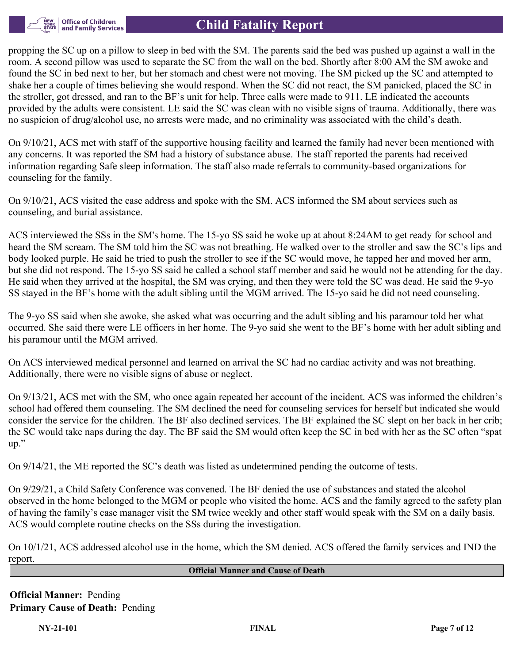

## **Child Fatality Report**

propping the SC up on a pillow to sleep in bed with the SM. The parents said the bed was pushed up against a wall in the room. A second pillow was used to separate the SC from the wall on the bed. Shortly after 8:00 AM the SM awoke and found the SC in bed next to her, but her stomach and chest were not moving. The SM picked up the SC and attempted to shake her a couple of times believing she would respond. When the SC did not react, the SM panicked, placed the SC in the stroller, got dressed, and ran to the BF's unit for help. Three calls were made to 911. LE indicated the accounts provided by the adults were consistent. LE said the SC was clean with no visible signs of trauma. Additionally, there was no suspicion of drug/alcohol use, no arrests were made, and no criminality was associated with the child's death.

On 9/10/21, ACS met with staff of the supportive housing facility and learned the family had never been mentioned with any concerns. It was reported the SM had a history of substance abuse. The staff reported the parents had received information regarding Safe sleep information. The staff also made referrals to community-based organizations for counseling for the family.

On 9/10/21, ACS visited the case address and spoke with the SM. ACS informed the SM about services such as counseling, and burial assistance.

ACS interviewed the SSs in the SM's home. The 15-yo SS said he woke up at about 8:24AM to get ready for school and heard the SM scream. The SM told him the SC was not breathing. He walked over to the stroller and saw the SC's lips and body looked purple. He said he tried to push the stroller to see if the SC would move, he tapped her and moved her arm, but she did not respond. The 15-yo SS said he called a school staff member and said he would not be attending for the day. He said when they arrived at the hospital, the SM was crying, and then they were told the SC was dead. He said the 9-yo SS stayed in the BF's home with the adult sibling until the MGM arrived. The 15-yo said he did not need counseling.

The 9-yo SS said when she awoke, she asked what was occurring and the adult sibling and his paramour told her what occurred. She said there were LE officers in her home. The 9-yo said she went to the BF's home with her adult sibling and his paramour until the MGM arrived.

On ACS interviewed medical personnel and learned on arrival the SC had no cardiac activity and was not breathing. Additionally, there were no visible signs of abuse or neglect.

On 9/13/21, ACS met with the SM, who once again repeated her account of the incident. ACS was informed the children's school had offered them counseling. The SM declined the need for counseling services for herself but indicated she would consider the service for the children. The BF also declined services. The BF explained the SC slept on her back in her crib; the SC would take naps during the day. The BF said the SM would often keep the SC in bed with her as the SC often "spat up."

On 9/14/21, the ME reported the SC's death was listed as undetermined pending the outcome of tests.

On 9/29/21, a Child Safety Conference was convened. The BF denied the use of substances and stated the alcohol observed in the home belonged to the MGM or people who visited the home. ACS and the family agreed to the safety plan of having the family's case manager visit the SM twice weekly and other staff would speak with the SM on a daily basis. ACS would complete routine checks on the SSs during the investigation.

On 10/1/21, ACS addressed alcohol use in the home, which the SM denied. ACS offered the family services and IND the report.

#### **Official Manner and Cause of Death**

**Official Manner:** Pending **Primary Cause of Death:** Pending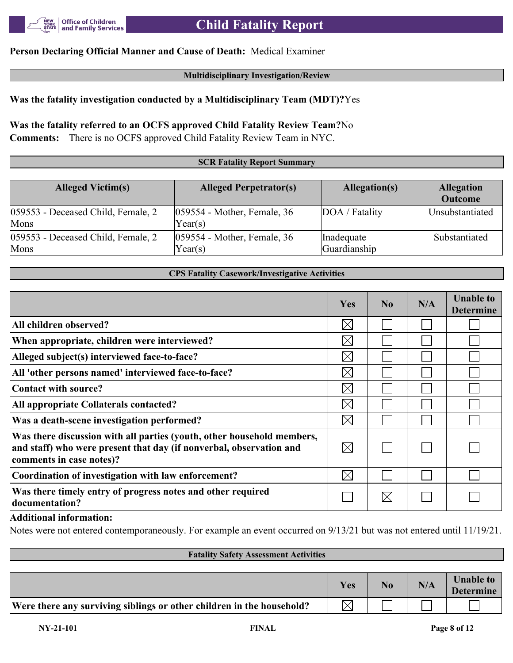

### **Person Declaring Official Manner and Cause of Death:** Medical Examiner

#### **Multidisciplinary Investigation/Review**

#### **Was the fatality investigation conducted by a Multidisciplinary Team (MDT)?**Yes

## **Was the fatality referred to an OCFS approved Child Fatality Review Team?**No

**Comments:** There is no OCFS approved Child Fatality Review Team in NYC.

#### **SCR Fatality Report Summary**

| <b>Alleged Victim(s)</b>                      | <b>Alleged Perpetrator(s)</b>             | Allegation(s)              | <b>Allegation</b><br><b>Outcome</b> |
|-----------------------------------------------|-------------------------------------------|----------------------------|-------------------------------------|
| 059553 - Deceased Child, Female, 2<br>Mons    | $ 059554$ - Mother, Female, 36<br>Year(s) | DOA / Fatality             | Unsubstantiated                     |
| $ 059553$ - Deceased Child, Female, 2<br>Mons | $ 059554$ - Mother, Female, 36<br>Year(s) | Inadequate<br>Guardianship | Substantiated                       |

#### **CPS Fatality Casework/Investigative Activities**

|                                                                                                                                                                           | Yes         | No          | N/A | <b>Unable to</b><br><b>Determine</b> |
|---------------------------------------------------------------------------------------------------------------------------------------------------------------------------|-------------|-------------|-----|--------------------------------------|
| All children observed?                                                                                                                                                    | $\boxtimes$ |             |     |                                      |
| When appropriate, children were interviewed?                                                                                                                              | $\boxtimes$ |             |     |                                      |
| Alleged subject(s) interviewed face-to-face?                                                                                                                              | $\bowtie$   |             |     |                                      |
| All 'other persons named' interviewed face-to-face?                                                                                                                       | $\boxtimes$ |             |     |                                      |
| Contact with source?                                                                                                                                                      | $\boxtimes$ |             |     |                                      |
| All appropriate Collaterals contacted?                                                                                                                                    | $\boxtimes$ |             |     |                                      |
| Was a death-scene investigation performed?                                                                                                                                | $\boxtimes$ |             |     |                                      |
| Was there discussion with all parties (youth, other household members,<br>and staff) who were present that day (if nonverbal, observation and<br>comments in case notes)? | $\boxtimes$ |             |     |                                      |
| Coordination of investigation with law enforcement?                                                                                                                       | $\boxtimes$ |             |     |                                      |
| Was there timely entry of progress notes and other required<br>documentation?                                                                                             |             | $\boxtimes$ |     |                                      |

#### **Additional information:**

Notes were not entered contemporaneously. For example an event occurred on 9/13/21 but was not entered until 11/19/21.

#### **Fatality Safety Assessment Activities**

|                                                                       | Yes | N/A | <b>Unable to</b><br><b>Determine</b> |
|-----------------------------------------------------------------------|-----|-----|--------------------------------------|
| Were there any surviving siblings or other children in the household? |     |     |                                      |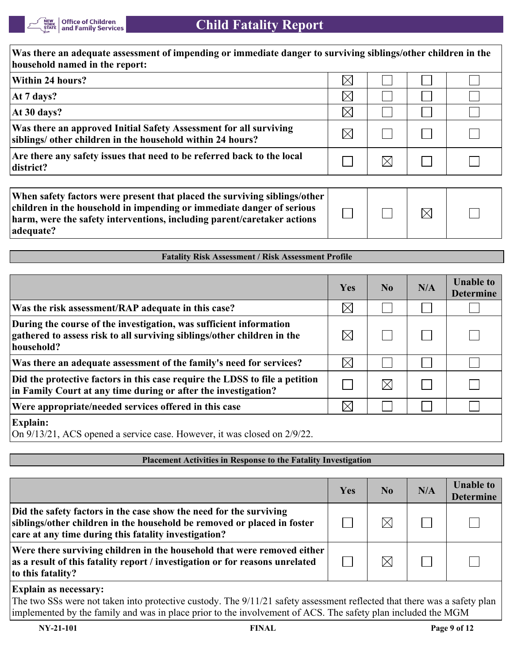

| Was there an adequate assessment of impending or immediate danger to surviving siblings/other children in the<br>household named in the report:                                                                                            |             |             |             |  |  |
|--------------------------------------------------------------------------------------------------------------------------------------------------------------------------------------------------------------------------------------------|-------------|-------------|-------------|--|--|
| Within 24 hours?                                                                                                                                                                                                                           | $\boxtimes$ |             |             |  |  |
| At 7 days?                                                                                                                                                                                                                                 | $\boxtimes$ |             |             |  |  |
| At 30 days?                                                                                                                                                                                                                                | $\boxtimes$ |             |             |  |  |
| Was there an approved Initial Safety Assessment for all surviving<br>siblings/ other children in the household within 24 hours?                                                                                                            | $\boxtimes$ |             |             |  |  |
| Are there any safety issues that need to be referred back to the local<br>district?                                                                                                                                                        |             | $\boxtimes$ |             |  |  |
| When safety factors were present that placed the surviving siblings/other<br>children in the household in impending or immediate danger of serious<br>harm, were the safety interventions, including parent/caretaker actions<br>adequate? |             |             | $\boxtimes$ |  |  |
|                                                                                                                                                                                                                                            |             |             |             |  |  |
| <b>Fatality Risk Assessment / Risk Assessment Profile</b>                                                                                                                                                                                  |             |             |             |  |  |
|                                                                                                                                                                                                                                            |             |             |             |  |  |

|                                                                                                                                                             | Yes         | N <sub>0</sub> | N/A | <b>Unable to</b><br><b>Determine</b> |
|-------------------------------------------------------------------------------------------------------------------------------------------------------------|-------------|----------------|-----|--------------------------------------|
| Was the risk assessment/RAP adequate in this case?                                                                                                          | $\boxtimes$ |                |     |                                      |
| During the course of the investigation, was sufficient information<br>gathered to assess risk to all surviving siblings/other children in the<br>household? | $\boxtimes$ |                |     |                                      |
| Was there an adequate assessment of the family's need for services?                                                                                         | $\times$    |                |     |                                      |
| Did the protective factors in this case require the LDSS to file a petition<br>in Family Court at any time during or after the investigation?               |             | $\boxtimes$    |     |                                      |
| Were appropriate/needed services offered in this case                                                                                                       | $\times$    |                |     |                                      |
| <b>Explain:</b><br>$O_{\mu}$ $0/12/21$ ACS energy examine ages. However, it was aloned an $2/0/22$                                                          |             |                |     |                                      |

On 9/13/21, ACS opened a service case. However, it was closed on 2/9/22.

#### **Placement Activities in Response to the Fatality Investigation**

|                                                                                                                                                                                                       | Yes | N <sub>0</sub> | N/A | <b>Unable to</b><br><b>Determine</b> |
|-------------------------------------------------------------------------------------------------------------------------------------------------------------------------------------------------------|-----|----------------|-----|--------------------------------------|
| Did the safety factors in the case show the need for the surviving<br>siblings/other children in the household be removed or placed in foster<br>care at any time during this fatality investigation? |     | $\times$       |     |                                      |
| Were there surviving children in the household that were removed either<br>as a result of this fatality report / investigation or for reasons unrelated<br>to this fatality?                          |     | $\boxtimes$    |     |                                      |

#### **Explain as necessary:**

The two SSs were not taken into protective custody. The 9/11/21 safety assessment reflected that there was a safety plan implemented by the family and was in place prior to the involvement of ACS. The safety plan included the MGM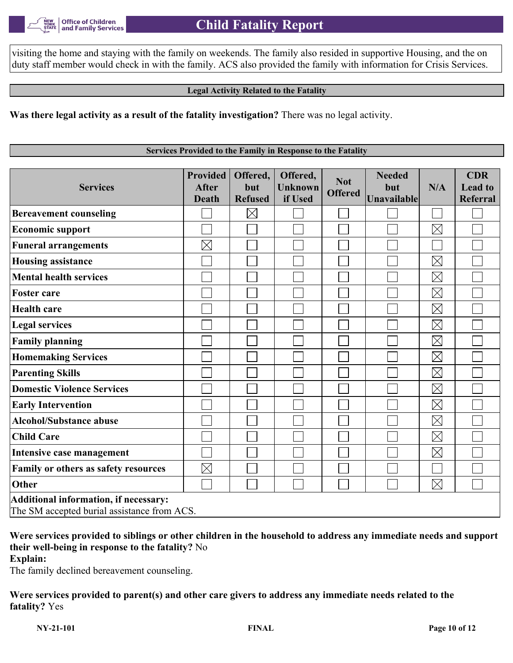visiting the home and staying with the family on weekends. The family also resided in supportive Housing, and the on duty staff member would check in with the family. ACS also provided the family with information for Crisis Services.

#### **Legal Activity Related to the Fatality**

**Was there legal activity as a result of the fatality investigation?** There was no legal activity.

**Services Provided to the Family in Response to the Fatality**

| <b>Services</b>                                                                      | <b>Provided</b><br><b>After</b><br><b>Death</b> | Offered,<br>but<br><b>Refused</b> | Offered,<br><b>Unknown</b><br>if Used | <b>Not</b><br><b>Offered</b> | <b>Needed</b><br>but<br>Unavailable | N/A         | <b>CDR</b><br><b>Lead to</b><br>Referral |  |  |
|--------------------------------------------------------------------------------------|-------------------------------------------------|-----------------------------------|---------------------------------------|------------------------------|-------------------------------------|-------------|------------------------------------------|--|--|
| <b>Bereavement counseling</b>                                                        |                                                 | $\boxtimes$                       |                                       |                              |                                     |             |                                          |  |  |
| <b>Economic support</b>                                                              |                                                 |                                   |                                       |                              |                                     | $\boxtimes$ |                                          |  |  |
| <b>Funeral arrangements</b>                                                          | $\boxtimes$                                     |                                   |                                       |                              |                                     |             |                                          |  |  |
| <b>Housing assistance</b>                                                            |                                                 |                                   |                                       |                              |                                     | $\boxtimes$ |                                          |  |  |
| <b>Mental health services</b>                                                        |                                                 |                                   |                                       |                              |                                     | $\boxtimes$ |                                          |  |  |
| <b>Foster care</b>                                                                   |                                                 |                                   |                                       |                              |                                     | $\boxtimes$ |                                          |  |  |
| <b>Health care</b>                                                                   |                                                 |                                   |                                       |                              |                                     | $\boxtimes$ |                                          |  |  |
| <b>Legal services</b>                                                                |                                                 |                                   |                                       |                              |                                     | $\boxtimes$ |                                          |  |  |
| <b>Family planning</b>                                                               |                                                 |                                   |                                       |                              |                                     | $\boxtimes$ |                                          |  |  |
| <b>Homemaking Services</b>                                                           |                                                 |                                   |                                       |                              |                                     | $\boxtimes$ |                                          |  |  |
| <b>Parenting Skills</b>                                                              |                                                 |                                   |                                       |                              |                                     | $\boxtimes$ |                                          |  |  |
| <b>Domestic Violence Services</b>                                                    |                                                 |                                   |                                       |                              |                                     | $\boxtimes$ |                                          |  |  |
| <b>Early Intervention</b>                                                            |                                                 |                                   |                                       |                              |                                     | $\boxtimes$ |                                          |  |  |
| <b>Alcohol/Substance abuse</b>                                                       |                                                 |                                   |                                       |                              |                                     | $\boxtimes$ |                                          |  |  |
| <b>Child Care</b>                                                                    |                                                 |                                   |                                       |                              |                                     | $\boxtimes$ |                                          |  |  |
| Intensive case management                                                            |                                                 |                                   |                                       |                              |                                     | $\boxtimes$ |                                          |  |  |
| Family or others as safety resources                                                 | $\boxtimes$                                     |                                   |                                       |                              |                                     |             |                                          |  |  |
| Other                                                                                |                                                 |                                   |                                       |                              |                                     | $\boxtimes$ |                                          |  |  |
| Additional information, if necessary:<br>The SM accepted burial assistance from ACS. |                                                 |                                   |                                       |                              |                                     |             |                                          |  |  |

**Were services provided to siblings or other children in the household to address any immediate needs and support their well-being in response to the fatality?** No **Explain:**

The family declined bereavement counseling.

**Were services provided to parent(s) and other care givers to address any immediate needs related to the fatality?** Yes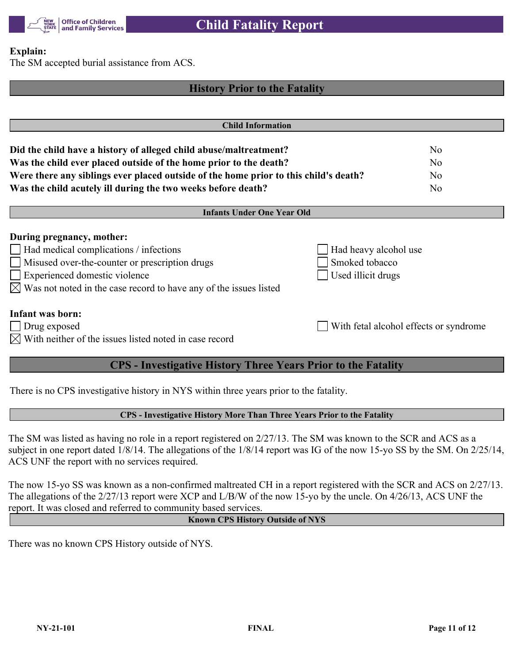

#### **Explain:**

The SM accepted burial assistance from ACS.

# **History Prior to the Fatality Child Information Did the child have a history of alleged child abuse/maltreatment?** No **Was the child ever placed outside of the home prior to the death?** No **Were there any siblings ever placed outside of the home prior to this child's death?** No **Was the child acutely ill during the two weeks before death?** No **Infants Under One Year Old During pregnancy, mother:** Had medical complications / infections  $\Box$  Had heavy alcohol use Misused over-the-counter or prescription drugs Smoked tobacco Experienced domestic violence Used illicit drugs  $\boxtimes$  Was not noted in the case record to have any of the issues listed **Infant was born:** Drug exposed With fetal alcohol effects or syndrome  $\boxtimes$  With neither of the issues listed noted in case record **CPS - Investigative History Three Years Prior to the Fatality**

There is no CPS investigative history in NYS within three years prior to the fatality.

#### **CPS - Investigative History More Than Three Years Prior to the Fatality**

The SM was listed as having no role in a report registered on 2/27/13. The SM was known to the SCR and ACS as a subject in one report dated 1/8/14. The allegations of the 1/8/14 report was IG of the now 15-yo SS by the SM. On 2/25/14, ACS UNF the report with no services required.

The now 15-yo SS was known as a non-confirmed maltreated CH in a report registered with the SCR and ACS on 2/27/13. The allegations of the 2/27/13 report were XCP and L/B/W of the now 15-yo by the uncle. On 4/26/13, ACS UNF the report. It was closed and referred to community based services.

#### **Known CPS History Outside of NYS**

There was no known CPS History outside of NYS.